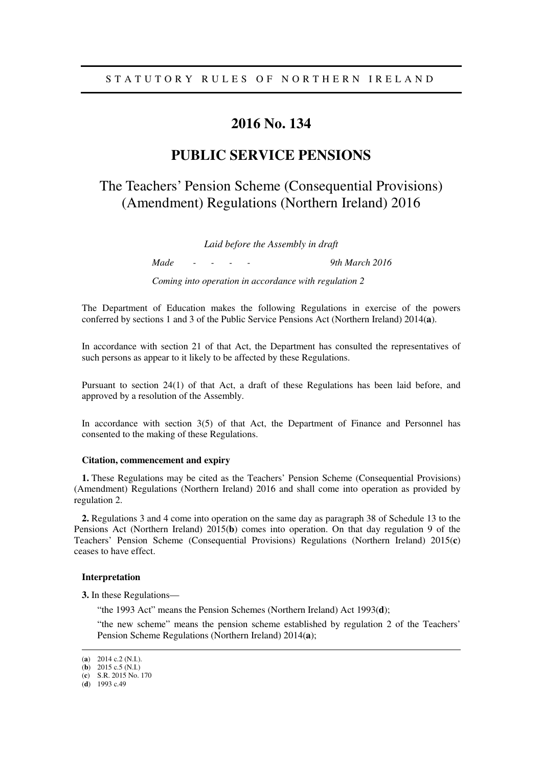# **2016 No. 134**

# **PUBLIC SERVICE PENSIONS**

# The Teachers' Pension Scheme (Consequential Provisions) (Amendment) Regulations (Northern Ireland) 2016

*Laid before the Assembly in draft* 

*Made - - - - 9th March 2016 Coming into operation in accordance with regulation 2* 

The Department of Education makes the following Regulations in exercise of the powers conferred by sections 1 and 3 of the Public Service Pensions Act (Northern Ireland) 2014(**a**).

In accordance with section 21 of that Act, the Department has consulted the representatives of such persons as appear to it likely to be affected by these Regulations.

Pursuant to section 24(1) of that Act, a draft of these Regulations has been laid before, and approved by a resolution of the Assembly.

In accordance with section 3(5) of that Act, the Department of Finance and Personnel has consented to the making of these Regulations.

#### **Citation, commencement and expiry**

**1.** These Regulations may be cited as the Teachers' Pension Scheme (Consequential Provisions) (Amendment) Regulations (Northern Ireland) 2016 and shall come into operation as provided by regulation 2.

**2.** Regulations 3 and 4 come into operation on the same day as paragraph 38 of Schedule 13 to the Pensions Act (Northern Ireland) 2015(**b**) comes into operation. On that day regulation 9 of the Teachers' Pension Scheme (Consequential Provisions) Regulations (Northern Ireland) 2015(**c**) ceases to have effect.

#### **Interpretation**

**3.** In these Regulations—

"the 1993 Act" means the Pension Schemes (Northern Ireland) Act 1993(**d**);

"the new scheme" means the pension scheme established by regulation 2 of the Teachers' Pension Scheme Regulations (Northern Ireland) 2014(**a**);

<u>.</u>

<sup>(</sup>**a**) 2014 c.2 (N.I.).

<sup>(</sup>**b**) 2015 c.5 (N.I.)

<sup>(</sup>**c**) S.R. 2015 No. 170

<sup>(</sup>**d**) 1993 c.49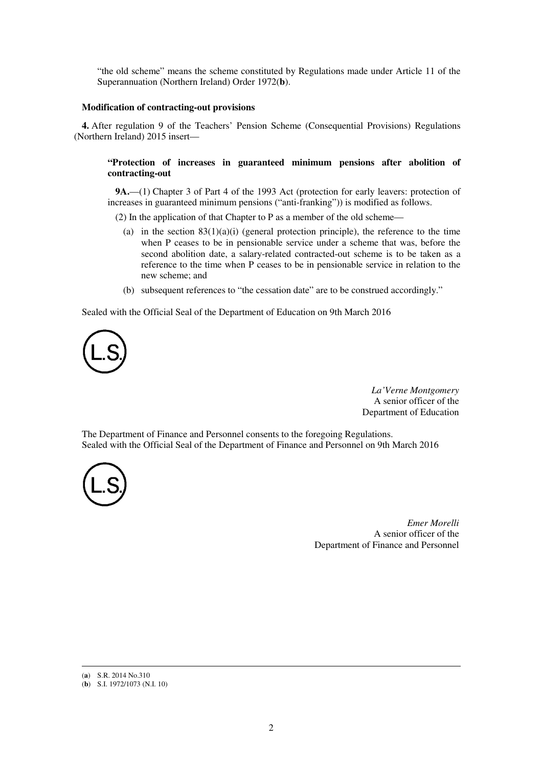"the old scheme" means the scheme constituted by Regulations made under Article 11 of the Superannuation (Northern Ireland) Order 1972(**b**).

#### **Modification of contracting-out provisions**

**4.** After regulation 9 of the Teachers' Pension Scheme (Consequential Provisions) Regulations (Northern Ireland) 2015 insert—

## **"Protection of increases in guaranteed minimum pensions after abolition of contracting-out**

**9A.**—(1) Chapter 3 of Part 4 of the 1993 Act (protection for early leavers: protection of increases in guaranteed minimum pensions ("anti-franking")) is modified as follows.

(2) In the application of that Chapter to P as a member of the old scheme—

- (a) in the section  $83(1)(a)(i)$  (general protection principle), the reference to the time when P ceases to be in pensionable service under a scheme that was, before the second abolition date, a salary-related contracted-out scheme is to be taken as a reference to the time when P ceases to be in pensionable service in relation to the new scheme; and
- (b) subsequent references to "the cessation date" are to be construed accordingly."

Sealed with the Official Seal of the Department of Education on 9th March 2016



*La'Verne Montgomery* A senior officer of the Department of Education

The Department of Finance and Personnel consents to the foregoing Regulations. Sealed with the Official Seal of the Department of Finance and Personnel on 9th March 2016



*Emer Morelli* A senior officer of the Department of Finance and Personnel

<u>.</u>

<sup>(</sup>**a**) S.R. 2014 No.310

<sup>(</sup>**b**) S.I. 1972/1073 (N.I. 10)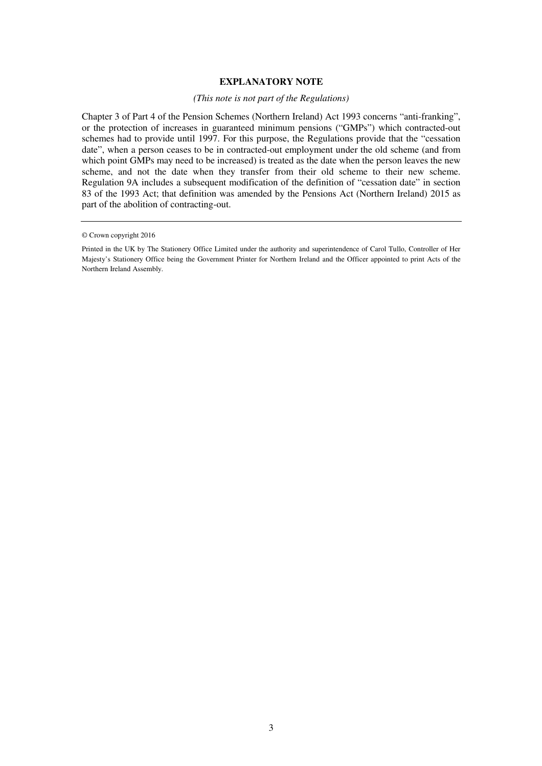## **EXPLANATORY NOTE**

## *(This note is not part of the Regulations)*

Chapter 3 of Part 4 of the Pension Schemes (Northern Ireland) Act 1993 concerns "anti-franking", or the protection of increases in guaranteed minimum pensions ("GMPs") which contracted-out schemes had to provide until 1997. For this purpose, the Regulations provide that the "cessation date", when a person ceases to be in contracted-out employment under the old scheme (and from which point GMPs may need to be increased) is treated as the date when the person leaves the new scheme, and not the date when they transfer from their old scheme to their new scheme. Regulation 9A includes a subsequent modification of the definition of "cessation date" in section 83 of the 1993 Act; that definition was amended by the Pensions Act (Northern Ireland) 2015 as part of the abolition of contracting-out.

<sup>©</sup> Crown copyright 2016

Printed in the UK by The Stationery Office Limited under the authority and superintendence of Carol Tullo, Controller of Her Majesty's Stationery Office being the Government Printer for Northern Ireland and the Officer appointed to print Acts of the Northern Ireland Assembly.